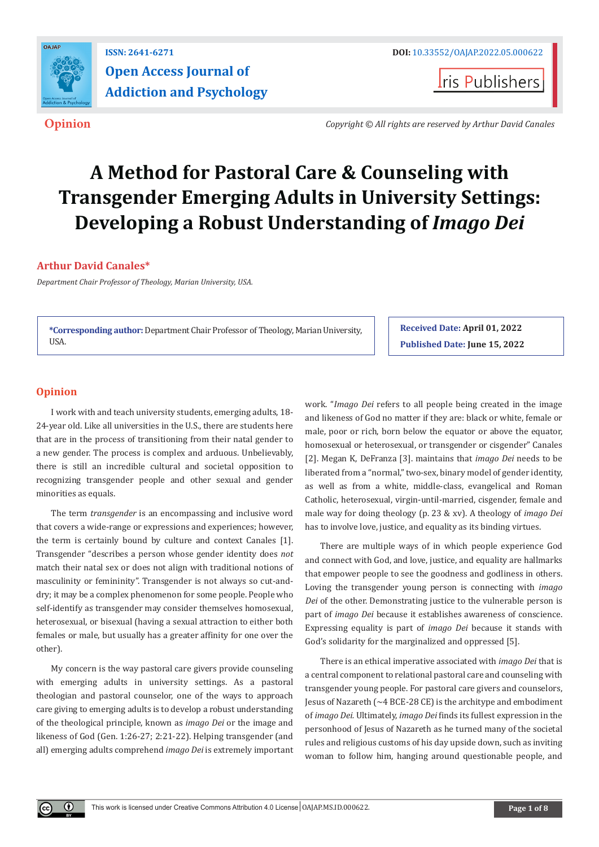

# **Open Access Journal of Addiction and Psychology**

**Iris Publishers** 

**Opinion** *Copyright © All rights are reserved by Arthur David Canales*

# **A Method for Pastoral Care & Counseling with Transgender Emerging Adults in University Settings: Developing a Robust Understanding of** *Imago Dei*

## **Arthur David Canales\***

*Department Chair Professor of Theology, Marian University, USA.*

**\*Corresponding author:** Department Chair Professor of Theology, Marian University, USA.

**Received Date: April 01, 2022 Published Date: June 15, 2022**

## **Opinion**

 $^{\circ}$ 

I work with and teach university students, emerging adults, 18- 24-year old. Like all universities in the U.S., there are students here that are in the process of transitioning from their natal gender to a new gender. The process is complex and arduous. Unbelievably, there is still an incredible cultural and societal opposition to recognizing transgender people and other sexual and gender minorities as equals.

The term *transgender* is an encompassing and inclusive word that covers a wide-range or expressions and experiences; however, the term is certainly bound by culture and context Canales [1]. Transgender "describes a person whose gender identity does *not* match their natal sex or does not align with traditional notions of masculinity or femininity". Transgender is not always so cut-anddry; it may be a complex phenomenon for some people. People who self-identify as transgender may consider themselves homosexual, heterosexual, or bisexual (having a sexual attraction to either both females or male, but usually has a greater affinity for one over the other).

My concern is the way pastoral care givers provide counseling with emerging adults in university settings. As a pastoral theologian and pastoral counselor, one of the ways to approach care giving to emerging adults is to develop a robust understanding of the theological principle, known as *imago Dei* or the image and likeness of God (Gen. 1:26-27; 2:21-22). Helping transgender (and all) emerging adults comprehend *imago Dei* is extremely important work. "*Imago Dei* refers to all people being created in the image and likeness of God no matter if they are: black or white, female or male, poor or rich, born below the equator or above the equator, homosexual or heterosexual, or transgender or cisgender" Canales [2]. Megan K, DeFranza [3]. maintains that *imago Dei* needs to be liberated from a "normal," two-sex, binary model of gender identity, as well as from a white, middle-class, evangelical and Roman Catholic, heterosexual, virgin-until-married, cisgender, female and male way for doing theology (p. 23 & xv). A theology of *imago Dei* has to involve love, justice, and equality as its binding virtues.

There are multiple ways of in which people experience God and connect with God, and love, justice, and equality are hallmarks that empower people to see the goodness and godliness in others. Loving the transgender young person is connecting with *imago Dei* of the other. Demonstrating justice to the vulnerable person is part of *imago Dei* because it establishes awareness of conscience. Expressing equality is part of *imago Dei* because it stands with God's solidarity for the marginalized and oppressed [5].

There is an ethical imperative associated with *imago Dei* that is a central component to relational pastoral care and counseling with transgender young people. For pastoral care givers and counselors, Jesus of Nazareth (~4 BCE-28 CE) is the architype and embodiment of *imago Dei.* Ultimately, *imago Dei* finds its fullest expression in the personhood of Jesus of Nazareth as he turned many of the societal rules and religious customs of his day upside down, such as inviting woman to follow him, hanging around questionable people, and